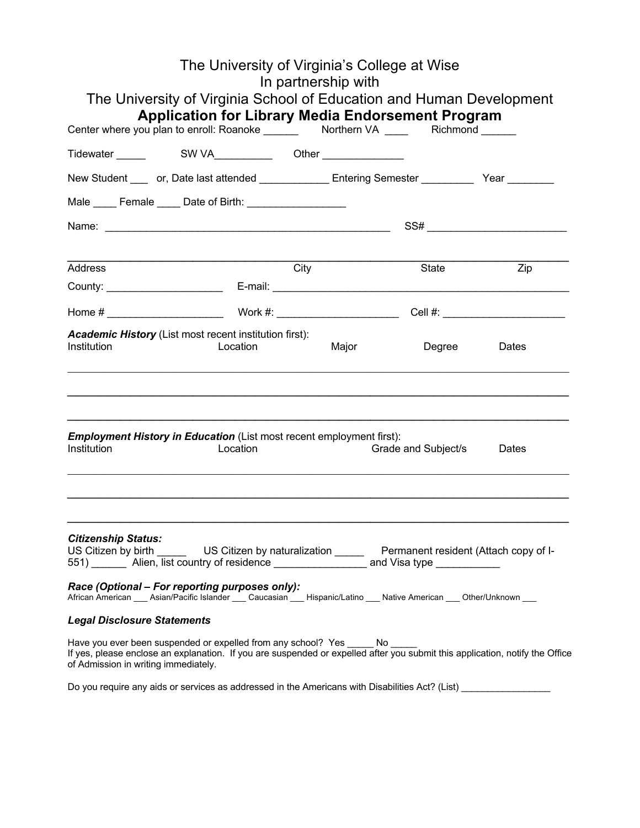|                                      | The University of Virginia's College at Wise                                                                                                                                                                 | In partnership with |                     |                  |
|--------------------------------------|--------------------------------------------------------------------------------------------------------------------------------------------------------------------------------------------------------------|---------------------|---------------------|------------------|
|                                      | The University of Virginia School of Education and Human Development<br><b>Application for Library Media Endorsement Program</b>                                                                             |                     |                     |                  |
|                                      |                                                                                                                                                                                                              |                     |                     |                  |
|                                      |                                                                                                                                                                                                              |                     |                     |                  |
|                                      | New Student ____ or, Date last attended ________________Entering Semester ___________ Year _________                                                                                                         |                     |                     |                  |
|                                      | Male Female Date of Birth:                                                                                                                                                                                   |                     |                     |                  |
|                                      |                                                                                                                                                                                                              |                     |                     |                  |
|                                      |                                                                                                                                                                                                              |                     |                     |                  |
| <b>Address</b>                       |                                                                                                                                                                                                              | City                | State               | $\overline{Zip}$ |
|                                      |                                                                                                                                                                                                              |                     |                     |                  |
|                                      |                                                                                                                                                                                                              |                     |                     |                  |
| Institution                          | Academic History (List most recent institution first):<br>Location                                                                                                                                           | Major               | Degree              | Dates            |
| Institution                          | <b>Employment History in Education (List most recent employment first):</b><br>Location                                                                                                                      |                     | Grade and Subject/s | Dates            |
| <b>Citizenship Status:</b>           | US Citizen by birth _______ US Citizen by naturalization ______ Permanent resident (Attach copy of I-551) _______ Alien, list country of residence ______________ and Visa type __________                   |                     |                     |                  |
|                                      | Race (Optional – For reporting purposes only):<br>African American ___ Asian/Pacific Islander ___ Caucasian ___ Hispanic/Latino ___ Native American ___ Other/Unknown ___                                    |                     |                     |                  |
| <b>Legal Disclosure Statements</b>   |                                                                                                                                                                                                              |                     |                     |                  |
| of Admission in writing immediately. | Have you ever been suspended or expelled from any school? Yes _____ No _____<br>If yes, please enclose an explanation. If you are suspended or expelled after you submit this application, notify the Office |                     |                     |                  |
|                                      | Do you require any aids or services as addressed in the Americans with Disabilities Act? (List)                                                                                                              |                     |                     |                  |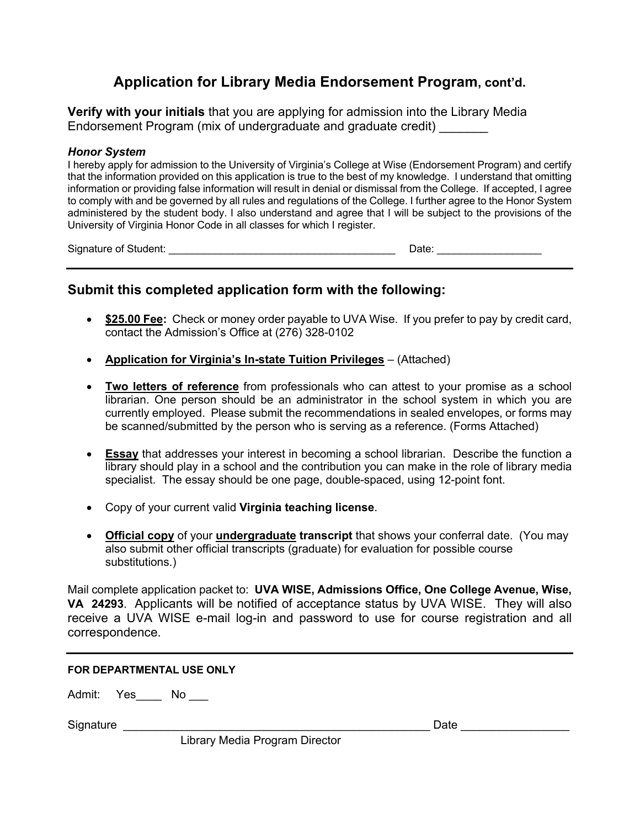## **Application for Library Media Endorsement Program, cont'd.**

**Verify with your initials** that you are applying for admission into the Library Media Endorsement Program (mix of undergraduate and graduate credit) \_\_\_\_\_\_\_

#### *Honor System*

I hereby apply for admission to the University of Virginia's College at Wise (Endorsement Program) and certify that the information provided on this application is true to the best of my knowledge. I understand that omitting information or providing false information will result in denial or dismissal from the College. If accepted, I agree to comply with and be governed by all rules and regulations of the College. I further agree to the Honor System administered by the student body. I also understand and agree that I will be subject to the provisions of the University of Virginia Honor Code in all classes for which I register.

Signature of Student: \_\_\_\_\_\_\_\_\_\_\_\_\_\_\_\_\_\_\_\_\_\_\_\_\_\_\_\_\_\_\_\_\_\_\_\_\_\_\_ Date: \_\_\_\_\_\_\_\_\_\_\_\_\_\_\_\_\_\_

## **Submit this completed application form with the following:**

- **\$25.00 Fee:** Check or money order payable to UVA Wise. If you prefer to pay by credit card, contact the Admission's Office at (276) 328-0102
- **Application for Virginia's In-state Tuition Privileges** (Attached)
- **Two letters of reference** from professionals who can attest to your promise as a school librarian. One person should be an administrator in the school system in which you are currently employed. Please submit the recommendations in sealed envelopes, or forms may be scanned/submitted by the person who is serving as a reference. (Forms Attached)
- **Essay** that addresses your interest in becoming a school librarian. Describe the function a library should play in a school and the contribution you can make in the role of library media specialist. The essay should be one page, double-spaced, using 12-point font.
- Copy of your current valid **Virginia teaching license**.
- **Official copy** of your **undergraduate transcript** that shows your conferral date. (You may also submit other official transcripts (graduate) for evaluation for possible course substitutions.)

Mail complete application packet to: **UVA WISE, Admissions Office, One College Avenue, Wise, VA 24293**. Applicants will be notified of acceptance status by UVA WISE. They will also receive a UVA WISE e-mail log-in and password to use for course registration and all correspondence.

#### **FOR DEPARTMENTAL USE ONLY**

Admit: Yes No

Signature \_\_\_\_\_\_\_\_\_\_\_\_\_\_\_\_\_\_\_\_\_\_\_\_\_\_\_\_\_\_\_\_\_\_\_\_\_\_\_\_\_\_\_\_\_\_\_\_ Date \_\_\_\_\_\_\_\_\_\_\_\_\_\_\_\_\_

Library Media Program Director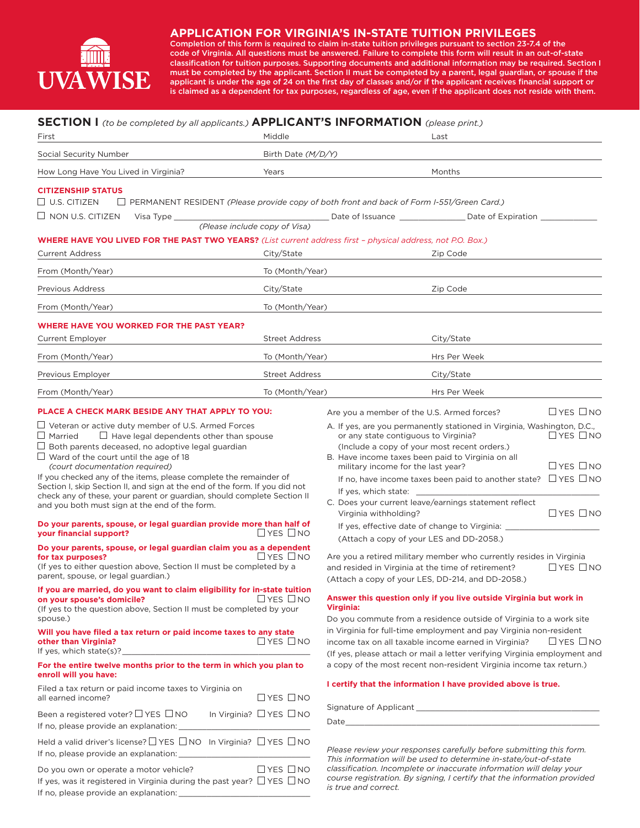

#### **APPLICATION FOR VIRGINIA'S IN-STATE TUITION PRIVILEGES**

Completion of this form is required to claim in-state tuition privileges pursuant to section 23-7.4 of the code of Virginia. All questions must be answered. Failure to complete this form will result in an out-of-state classification for tuition purposes. Supporting documents and additional information may be required. Section I must be completed by the applicant. Section II must be completed by a parent, legal guardian, or spouse if the applicant is under the age of 24 on the first day of classes and/or if the applicant receives financial support or is claimed as a dependent for tax purposes, regardless of age, even if the applicant does not reside with them.

### **SECTION I** *(to be completed by all applicants.)* **APPLICANT'S INFORMATION** *(please print.)*

| <b>JECTION I</b> (to be completed by all applicants.) <b>AFFEIGANT 3 INFORMATION</b> (please print.)<br>First                                                                                                                                                                                                                                                                                                               | Middle                        | Last                                                                                                                                                                                                                                                                                                  |                                              |  |
|-----------------------------------------------------------------------------------------------------------------------------------------------------------------------------------------------------------------------------------------------------------------------------------------------------------------------------------------------------------------------------------------------------------------------------|-------------------------------|-------------------------------------------------------------------------------------------------------------------------------------------------------------------------------------------------------------------------------------------------------------------------------------------------------|----------------------------------------------|--|
| Social Security Number                                                                                                                                                                                                                                                                                                                                                                                                      | Birth Date (M/D/Y)            |                                                                                                                                                                                                                                                                                                       |                                              |  |
| How Long Have You Lived in Virginia?                                                                                                                                                                                                                                                                                                                                                                                        | Years                         | Months                                                                                                                                                                                                                                                                                                |                                              |  |
| <b>CITIZENSHIP STATUS</b>                                                                                                                                                                                                                                                                                                                                                                                                   |                               |                                                                                                                                                                                                                                                                                                       |                                              |  |
| $\Box$ U.S. CITIZEN                                                                                                                                                                                                                                                                                                                                                                                                         |                               | $\Box$ PERMANENT RESIDENT (Please provide copy of both front and back of Form I-551/Green Card.)                                                                                                                                                                                                      |                                              |  |
| $\Box$ NON U.S. CITIZEN                                                                                                                                                                                                                                                                                                                                                                                                     |                               |                                                                                                                                                                                                                                                                                                       |                                              |  |
|                                                                                                                                                                                                                                                                                                                                                                                                                             | (Please include copy of Visa) |                                                                                                                                                                                                                                                                                                       |                                              |  |
| <b>WHERE HAVE YOU LIVED FOR THE PAST TWO YEARS?</b> (List current address first - physical address, not P.O. Box.)<br><b>Current Address</b>                                                                                                                                                                                                                                                                                | City/State                    | Zip Code                                                                                                                                                                                                                                                                                              |                                              |  |
| From (Month/Year)                                                                                                                                                                                                                                                                                                                                                                                                           | To (Month/Year)               |                                                                                                                                                                                                                                                                                                       |                                              |  |
| Previous Address                                                                                                                                                                                                                                                                                                                                                                                                            | City/State                    | Zip Code                                                                                                                                                                                                                                                                                              |                                              |  |
| From (Month/Year)                                                                                                                                                                                                                                                                                                                                                                                                           | To (Month/Year)               |                                                                                                                                                                                                                                                                                                       |                                              |  |
|                                                                                                                                                                                                                                                                                                                                                                                                                             |                               |                                                                                                                                                                                                                                                                                                       |                                              |  |
| <b>WHERE HAVE YOU WORKED FOR THE PAST YEAR?</b><br><b>Current Employer</b>                                                                                                                                                                                                                                                                                                                                                  | <b>Street Address</b>         | City/State                                                                                                                                                                                                                                                                                            |                                              |  |
| From (Month/Year)                                                                                                                                                                                                                                                                                                                                                                                                           | To (Month/Year)               | Hrs Per Week                                                                                                                                                                                                                                                                                          |                                              |  |
| Previous Employer                                                                                                                                                                                                                                                                                                                                                                                                           | <b>Street Address</b>         | City/State                                                                                                                                                                                                                                                                                            |                                              |  |
| From (Month/Year)                                                                                                                                                                                                                                                                                                                                                                                                           | To (Month/Year)               | Hrs Per Week                                                                                                                                                                                                                                                                                          |                                              |  |
| PLACE A CHECK MARK BESIDE ANY THAT APPLY TO YOU:                                                                                                                                                                                                                                                                                                                                                                            |                               | Are you a member of the U.S. Armed forces?                                                                                                                                                                                                                                                            | $\Box$ YES $\Box$ NO                         |  |
| $\Box$ Both parents deceased, no adoptive legal guardian<br>$\Box$ Ward of the court until the age of 18<br>(court documentation required)<br>If you checked any of the items, please complete the remainder of<br>Section I, skip Section II, and sign at the end of the form. If you did not<br>check any of these, your parent or guardian, should complete Section II<br>and you both must sign at the end of the form. |                               | (Include a copy of your most recent orders.)<br>B. Have income taxes been paid to Virginia on all<br>military income for the last year?<br>If no, have income taxes been paid to another state? $\Box$ YES $\Box$ NO<br>If yes, which state:<br>C. Does your current leave/earnings statement reflect | $\Box$ YES $\Box$ NO<br>$\Box$ YES $\Box$ NO |  |
| Do your parents, spouse, or legal guardian provide more than half of<br>$\Box$ YES $\Box$ NO<br>your financial support?                                                                                                                                                                                                                                                                                                     |                               | Virginia withholding?<br>If yes, effective date of change to Virginia:<br>(Attach a copy of your LES and DD-2058.)                                                                                                                                                                                    |                                              |  |
| Do your parents, spouse, or legal guardian claim you as a dependent<br>for tax purposes?<br>(If yes to either question above, Section II must be completed by a<br>parent, spouse, or legal guardian.)                                                                                                                                                                                                                      | $L$ YES $L$ NO                | Are you a retired military member who currently resides in Virginia<br>and resided in Virginia at the time of retirement?<br>(Attach a copy of your LES, DD-214, and DD-2058.)                                                                                                                        | $\Box$ YES $\Box$ NO                         |  |
| If you are married, do you want to claim eligibility for in-state tuition<br>on your spouse's domicile? $\square$ YES $\square$ NO<br>$\Box$ YES $\Box$ NO<br>on your spouse's domicile?<br>(If yes to the question above, Section II must be completed by your<br>spouse.)                                                                                                                                                 |                               | Answer this question only if you live outside Virginia but work in<br>Virginia:<br>Do you commute from a residence outside of Virginia to a work site<br>in Virginia for full-time employment and pay Virginia non-resident                                                                           |                                              |  |
| Will you have filed a tax return or paid income taxes to any state<br>$\Box$ YES $\Box$ NO<br>other than Virginia?<br>Figures, which state(s)?                                                                                                                                                                                                                                                                              |                               | $L$ YES $L$ NO<br>income tax on all taxable income earned in Virginia?<br>(If yes, please attach or mail a letter verifying Virginia employment and                                                                                                                                                   |                                              |  |
| For the entire twelve months prior to the term in which you plan to<br>enroll will you have:                                                                                                                                                                                                                                                                                                                                |                               | a copy of the most recent non-resident Virginia income tax return.)                                                                                                                                                                                                                                   |                                              |  |
| Filed a tax return or paid income taxes to Virginia on<br>all earned income?                                                                                                                                                                                                                                                                                                                                                | $\Box$ YES $\Box$ NO          | I certify that the information I have provided above is true.                                                                                                                                                                                                                                         |                                              |  |
| Been a registered voter? $\Box$ YES $\Box$ NO In Virginia? $\Box$ YES $\Box$ NO                                                                                                                                                                                                                                                                                                                                             |                               |                                                                                                                                                                                                                                                                                                       |                                              |  |
| Held a valid driver's license? □ YES □ NO In Virginia? □ YES □ NO                                                                                                                                                                                                                                                                                                                                                           |                               | Please review your responses carefully before submitting this form.<br>This information will be used to determine in-state/out-of-state                                                                                                                                                               |                                              |  |
| $\Box$ YES $\Box$ NO<br>Do you own or operate a motor vehicle?<br>If yes, was it registered in Virginia during the past year? $\Box$ YES $\Box$ NO<br>If no, please provide an explanation: _______                                                                                                                                                                                                                         |                               | classification. Incomplete or inaccurate information will delay your<br>course registration. By signing, I certify that the information provided<br>is true and correct.                                                                                                                              |                                              |  |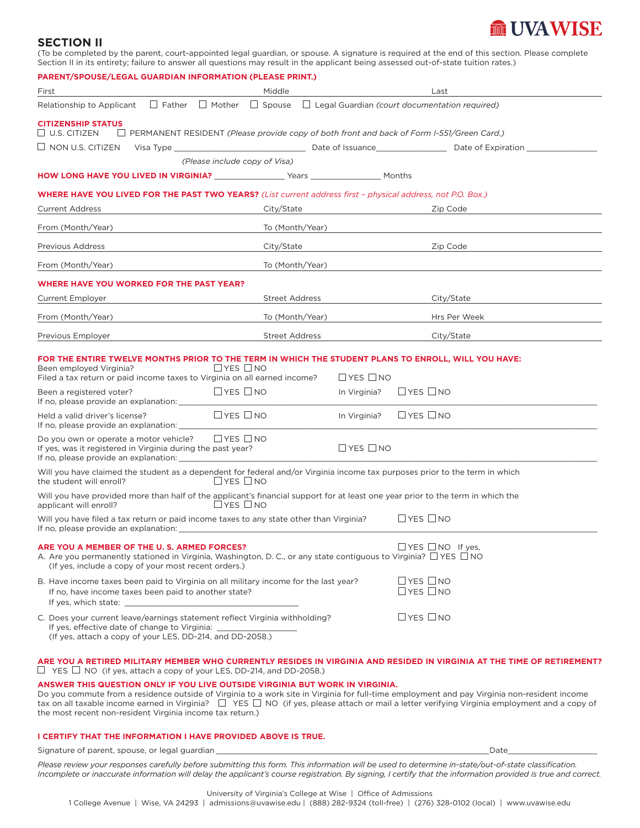# **ME UVA WISE**

#### **SECTION II**

(To be completed by the parent, court-appointed legal guardian, or spouse. A signature is required at the end of this section. Please complete Section II in its entirety; failure to answer all questions may result in the applicant being assessed out-of-state tuition rates.)

| PARENT/SPOUSE/LEGAL GUARDIAN INFORMATION (PLEASE PRINT.)                                                                                                                                                                                                                                                                  |                                              |                                      |                                              |  |  |  |
|---------------------------------------------------------------------------------------------------------------------------------------------------------------------------------------------------------------------------------------------------------------------------------------------------------------------------|----------------------------------------------|--------------------------------------|----------------------------------------------|--|--|--|
| First                                                                                                                                                                                                                                                                                                                     | Middle                                       |                                      | Last                                         |  |  |  |
| Relationship to Applicant $\Box$ Father $\Box$ Mother $\Box$ Spouse $\Box$ Legal Guardian (court documentation required)                                                                                                                                                                                                  |                                              |                                      |                                              |  |  |  |
| <b>CITIZENSHIP STATUS</b><br>$\Box$ U.S. CITIZEN<br>$\Box$ PERMANENT RESIDENT (Please provide copy of both front and back of Form I-551/Green Card.)                                                                                                                                                                      |                                              |                                      |                                              |  |  |  |
| $\Box$ NON U.S. CITIZEN                                                                                                                                                                                                                                                                                                   |                                              |                                      |                                              |  |  |  |
|                                                                                                                                                                                                                                                                                                                           | (Please include copy of Visa)                |                                      |                                              |  |  |  |
| HOW LONG HAVE YOU LIVED IN VIRGINIA? _________________Years ___________________ Months                                                                                                                                                                                                                                    |                                              |                                      |                                              |  |  |  |
| WHERE HAVE YOU LIVED FOR THE PAST TWO YEARS? (List current address first - physical address, not P.O. Box.)                                                                                                                                                                                                               |                                              |                                      |                                              |  |  |  |
| <b>Current Address</b>                                                                                                                                                                                                                                                                                                    | City/State                                   |                                      | Zip Code                                     |  |  |  |
| From (Month/Year)                                                                                                                                                                                                                                                                                                         | To (Month/Year)                              |                                      |                                              |  |  |  |
| Previous Address                                                                                                                                                                                                                                                                                                          | City/State                                   |                                      | Zip Code                                     |  |  |  |
| From (Month/Year)                                                                                                                                                                                                                                                                                                         | To (Month/Year)                              |                                      |                                              |  |  |  |
| WHERE HAVE YOU WORKED FOR THE PAST YEAR?                                                                                                                                                                                                                                                                                  |                                              |                                      |                                              |  |  |  |
| <b>Current Employer</b>                                                                                                                                                                                                                                                                                                   | <b>Street Address</b>                        |                                      | City/State                                   |  |  |  |
| From (Month/Year)                                                                                                                                                                                                                                                                                                         | To (Month/Year)                              |                                      | Hrs Per Week                                 |  |  |  |
| Previous Employer                                                                                                                                                                                                                                                                                                         | <b>Street Address</b>                        |                                      | City/State                                   |  |  |  |
| FOR THE ENTIRE TWELVE MONTHS PRIOR TO THE TERM IN WHICH THE STUDENT PLANS TO ENROLL, WILL YOU HAVE:<br>Been employed Virginia?<br>Filed a tax return or paid income taxes to Virginia on all earned income?<br>Been a registered voter?                                                                                   | $\Box$ YES $\Box$ NO<br>$\Box$ YES $\Box$ NO | $\Box$ YES $\Box$ NO<br>In Virginia? | $\Box$ YES $\Box$ NO                         |  |  |  |
| If no, please provide an explanation: _______                                                                                                                                                                                                                                                                             |                                              |                                      |                                              |  |  |  |
| Held a valid driver's license?<br>If no, please provide an explanation:                                                                                                                                                                                                                                                   | $\Box$ YES $\Box$ NO                         | In Virginia?                         | $\Box$ YES $\Box$ NO                         |  |  |  |
| Do you own or operate a motor vehicle?<br>If yes, was it registered in Virginia during the past year?<br>If no, please provide an explanation:                                                                                                                                                                            | $\Box$ YES $\Box$ NO                         | $\Box$ YES $\Box$ NO                 |                                              |  |  |  |
| Will you have claimed the student as a dependent for federal and/or Virginia income tax purposes prior to the term in which<br>the student will enroll?                                                                                                                                                                   | $\Box$ YES $\Box$ NO                         |                                      |                                              |  |  |  |
| Will you have provided more than half of the applicant's financial support for at least one year prior to the term in which the<br>applicant will enroll?                                                                                                                                                                 | $\Box$ YES $\Box$ NO                         |                                      |                                              |  |  |  |
| Will you have filed a tax return or paid income taxes to any state other than Virginia?<br>If no, please provide an explanation: The state of the state of the state of the state of the state of the state of the state of the state of the state of the state of the state of the state of the state of the state of th |                                              |                                      | $\Box$ YES $\Box$ NO                         |  |  |  |
| ARE YOU A MEMBER OF THE U.S. ARMED FORCES?<br>A. Are you permanently stationed in Virginia, Washington, D. C., or any state contiguous to Virginia? $\Box$ YES $\Box$ NO<br>(If yes, include a copy of your most recent orders.)                                                                                          |                                              |                                      | $\Box$ YES $\Box$ NO If yes,                 |  |  |  |
| B. Have income taxes been paid to Virginia on all military income for the last year?<br>If no, have income taxes been paid to another state?<br>If yes, which state:                                                                                                                                                      |                                              |                                      | $\Box$ YES $\Box$ NO<br>$\Box$ YES $\Box$ NO |  |  |  |
| C. Does your current leave/earnings statement reflect Virginia withholding?<br>If yes, effective date of change to Virginia:<br>(If yes, attach a copy of your LES, DD-214, and DD-2058.)                                                                                                                                 |                                              |                                      | $\Box$ YES $\Box$ NO                         |  |  |  |

#### **ARE YOU A RETIRED MILITARY MEMBER WHO CURRENTLY RESIDES IN VIRGINIA AND RESIDED IN VIRGINIA AT THE TIME OF RETIREMENT?**   $\Box$  YES  $\Box$  NO (if yes, attach a copy of your LES, DD-214, and DD-2058.)

#### **ANSWER THIS QUESTION ONLY IF YOU LIVE OUTSIDE VIRGINIA BUT WORK IN VIRGINIA.**

Do you commute from a residence outside of Virginia to a work site in Virginia for full-time employment and pay Virginia non-resident income tax on all taxable income earned in Virginia?  $\Box$  YES  $\Box$  NO (if yes, please attach or mail a letter verifying Virginia employment and a copy of the most recent non-resident Virginia income tax return.)

#### **I CERTIFY THAT THE INFORMATION I HAVE PROVIDED ABOVE IS TRUE.**

Signature of parent, spouse, or legal guardian **of the set of the set of the set of the set of the set of the set of the set of the set of the set of the set of the set of the set of the set of the set of the set of the se** 

*Please review your responses carefully before submitting this form. This information will be used to determine in-state/out-of-state classification. Incomplete or inaccurate information will delay the applicant's course registration. By signing, I certify that the information provided is true and correct.*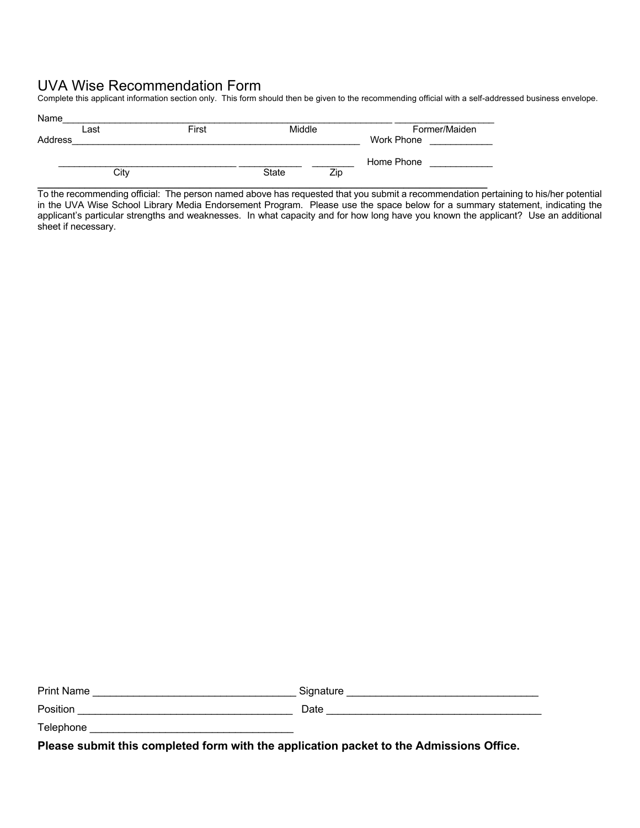## UVA Wise Recommendation Form

Complete this applicant information section only. This form should then be given to the recommending official with a self-addressed business envelope.

|         | Last | First | Middle       |     | Former/Maiden |
|---------|------|-------|--------------|-----|---------------|
| Address |      |       |              |     | Work Phone    |
|         |      |       |              |     | Home Phone    |
|         | City |       | <b>State</b> | Zip |               |

To the recommending official: The person named above has requested that you submit a recommendation pertaining to his/her potential in the UVA Wise School Library Media Endorsement Program. Please use the space below for a summary statement, indicating the applicant's particular strengths and weaknesses. In what capacity and for how long have you known the applicant? Use an additional sheet if necessary.

| <b>Print Name</b> | ≾iɑnature |
|-------------------|-----------|
| Position          | ⊃ate      |

Telephone

**Please submit this completed form with the application packet to the Admissions Office.**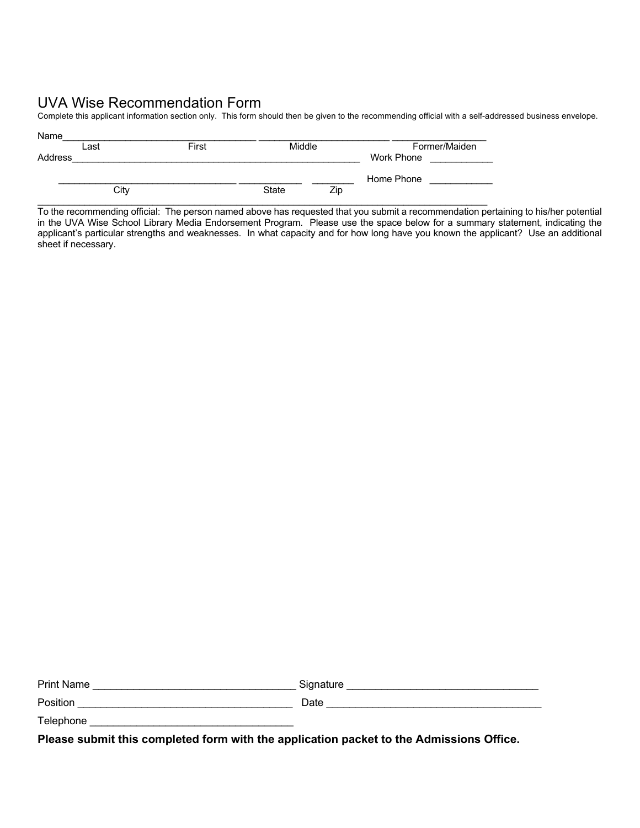## UVA Wise Recommendation Form

Complete this applicant information section only. This form should then be given to the recommending official with a self-addressed business envelope.

| Name    |      |       |              |     |               |
|---------|------|-------|--------------|-----|---------------|
|         | Last | First | Middle       |     | Former/Maiden |
| Address |      |       |              |     | Work Phone    |
|         |      |       |              |     |               |
|         |      |       |              |     | Home Phone    |
|         | City |       | <b>State</b> | Zip |               |
|         |      |       |              |     |               |

To the recommending official: The person named above has requested that you submit a recommendation pertaining to his/her potential in the UVA Wise School Library Media Endorsement Program. Please use the space below for a summary statement, indicating the applicant's particular strengths and weaknesses. In what capacity and for how long have you known the applicant? Use an additional sheet if necessary.

| <b>Print Name</b> | Signature |
|-------------------|-----------|
| Position          | Date      |
| Telephone         |           |

**Please submit this completed form with the application packet to the Admissions Office.**